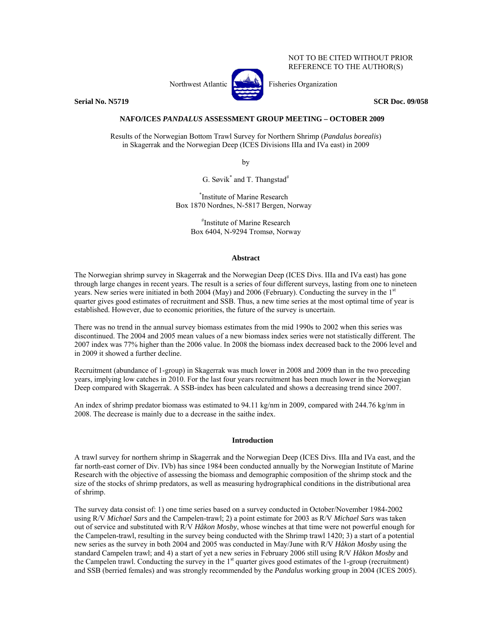NOT TO BE CITED WITHOUT PRIOR REFERENCE TO THE AUTHOR(S)

**Serial No. N5719** SCR Doc. 09/058

Northwest Atlantic **No. 3. Executes** Fisheries Organization

# **NAFO/ICES** *PANDALUS* **ASSESSMENT GROUP MEETING – OCTOBER 2009**

Results of the Norwegian Bottom Trawl Survey for Northern Shrimp (*Pandalus borealis*) in Skagerrak and the Norwegian Deep (ICES Divisions IIIa and IVa east) in 2009

by

G. Søvik<sup>\*</sup> and T. Thangstad<sup>#</sup>

\* Institute of Marine Research Box 1870 Nordnes, N-5817 Bergen, Norway

> # Institute of Marine Research Box 6404, N-9294 Tromsø, Norway

### **Abstract**

The Norwegian shrimp survey in Skagerrak and the Norwegian Deep (ICES Divs. IIIa and IVa east) has gone through large changes in recent years. The result is a series of four different surveys, lasting from one to nineteen years. New series were initiated in both 2004 (May) and 2006 (February). Conducting the survey in the 1<sup>st</sup> quarter gives good estimates of recruitment and SSB. Thus, a new time series at the most optimal time of year is established. However, due to economic priorities, the future of the survey is uncertain.

There was no trend in the annual survey biomass estimates from the mid 1990s to 2002 when this series was discontinued. The 2004 and 2005 mean values of a new biomass index series were not statistically different. The 2007 index was 77% higher than the 2006 value. In 2008 the biomass index decreased back to the 2006 level and in 2009 it showed a further decline.

Recruitment (abundance of 1-group) in Skagerrak was much lower in 2008 and 2009 than in the two preceding years, implying low catches in 2010. For the last four years recruitment has been much lower in the Norwegian Deep compared with Skagerrak. A SSB-index has been calculated and shows a decreasing trend since 2007.

An index of shrimp predator biomass was estimated to 94.11 kg/nm in 2009, compared with 244.76 kg/nm in 2008. The decrease is mainly due to a decrease in the saithe index.

# **Introduction**

A trawl survey for northern shrimp in Skagerrak and the Norwegian Deep (ICES Divs. IIIa and IVa east, and the far north-east corner of Div. IVb) has since 1984 been conducted annually by the Norwegian Institute of Marine Research with the objective of assessing the biomass and demographic composition of the shrimp stock and the size of the stocks of shrimp predators, as well as measuring hydrographical conditions in the distributional area of shrimp.

The survey data consist of: 1) one time series based on a survey conducted in October/November 1984-2002 using R/V *Michael Sars* and the Campelen-trawl; 2) a point estimate for 2003 as R/V *Michael Sars* was taken out of service and substituted with R/V *Håkon Mosby*, whose winches at that time were not powerful enough for the Campelen-trawl, resulting in the survey being conducted with the Shrimp trawl 1420; 3) a start of a potential new series as the survey in both 2004 and 2005 was conducted in May/June with R/V *Håkon Mosby* using the standard Campelen trawl; and 4) a start of yet a new series in February 2006 still using R/V *Håkon Mosby* and the Campelen trawl. Conducting the survey in the  $1<sup>st</sup>$  quarter gives good estimates of the 1-group (recruitment) and SSB (berried females) and was strongly recommended by the *Pandalus* working group in 2004 (ICES 2005).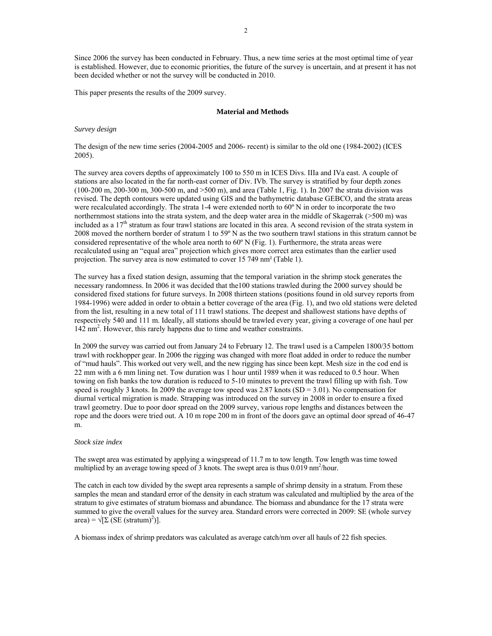Since 2006 the survey has been conducted in February. Thus, a new time series at the most optimal time of year is established. However, due to economic priorities, the future of the survey is uncertain, and at present it has not been decided whether or not the survey will be conducted in 2010.

This paper presents the results of the 2009 survey.

#### **Material and Methods**

### *Survey design*

The design of the new time series (2004-2005 and 2006- recent) is similar to the old one (1984-2002) (ICES 2005).

The survey area covers depths of approximately 100 to 550 m in ICES Divs. IIIa and IVa east. A couple of stations are also located in the far north-east corner of Div. IVb. The survey is stratified by four depth zones (100-200 m, 200-300 m, 300-500 m, and >500 m), and area (Table 1, Fig. 1). In 2007 the strata division was revised. The depth contours were updated using GIS and the bathymetric database GEBCO, and the strata areas were recalculated accordingly. The strata 1-4 were extended north to 60º N in order to incorporate the two northernmost stations into the strata system, and the deep water area in the middle of Skagerrak (>500 m) was included as a 17th stratum as four trawl stations are located in this area. A second revision of the strata system in 2008 moved the northern border of stratum 1 to 59º N as the two southern trawl stations in this stratum cannot be considered representative of the whole area north to  $60^{\circ}$  N (Fig. 1). Furthermore, the strata areas were recalculated using an "equal area" projection which gives more correct area estimates than the earlier used projection. The survey area is now estimated to cover 15 749 nm² (Table 1).

The survey has a fixed station design, assuming that the temporal variation in the shrimp stock generates the necessary randomness. In 2006 it was decided that the100 stations trawled during the 2000 survey should be considered fixed stations for future surveys. In 2008 thirteen stations (positions found in old survey reports from 1984-1996) were added in order to obtain a better coverage of the area (Fig. 1), and two old stations were deleted from the list, resulting in a new total of 111 trawl stations. The deepest and shallowest stations have depths of respectively 540 and 111 m. Ideally, all stations should be trawled every year, giving a coverage of one haul per 142 nm2 . However, this rarely happens due to time and weather constraints.

In 2009 the survey was carried out from January 24 to February 12. The trawl used is a Campelen 1800/35 bottom trawl with rockhopper gear. In 2006 the rigging was changed with more float added in order to reduce the number of "mud hauls". This worked out very well, and the new rigging has since been kept. Mesh size in the cod end is 22 mm with a 6 mm lining net. Tow duration was 1 hour until 1989 when it was reduced to 0.5 hour. When towing on fish banks the tow duration is reduced to 5-10 minutes to prevent the trawl filling up with fish. Tow speed is roughly 3 knots. In 2009 the average tow speed was  $2.87$  knots (SD = 3.01). No compensation for diurnal vertical migration is made. Strapping was introduced on the survey in 2008 in order to ensure a fixed trawl geometry. Due to poor door spread on the 2009 survey, various rope lengths and distances between the rope and the doors were tried out. A 10 m rope 200 m in front of the doors gave an optimal door spread of 46-47 m.

# *Stock size index*

The swept area was estimated by applying a wingspread of 11.7 m to tow length. Tow length was time towed multiplied by an average towing speed of 3 knots. The swept area is thus  $0.019 \text{ nm}^2/\text{hour}$ .

The catch in each tow divided by the swept area represents a sample of shrimp density in a stratum. From these samples the mean and standard error of the density in each stratum was calculated and multiplied by the area of the stratum to give estimates of stratum biomass and abundance. The biomass and abundance for the 17 strata were summed to give the overall values for the survey area. Standard errors were corrected in 2009: SE (whole survey  $area$ ) =  $\sqrt{[\Sigma (SE (stratum)^2)]}$ .

A biomass index of shrimp predators was calculated as average catch/nm over all hauls of 22 fish species.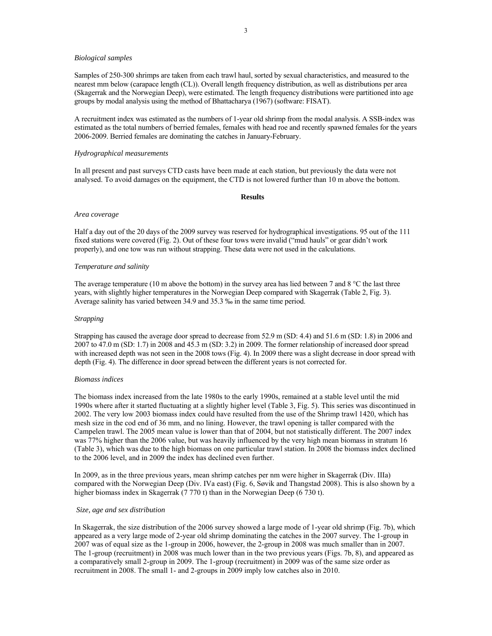# *Biological samples*

Samples of 250-300 shrimps are taken from each trawl haul, sorted by sexual characteristics, and measured to the nearest mm below (carapace length (CL)). Overall length frequency distribution, as well as distributions per area (Skagerrak and the Norwegian Deep), were estimated. The length frequency distributions were partitioned into age groups by modal analysis using the method of Bhattacharya (1967) (software: FISAT).

A recruitment index was estimated as the numbers of 1-year old shrimp from the modal analysis. A SSB-index was estimated as the total numbers of berried females, females with head roe and recently spawned females for the years 2006-2009. Berried females are dominating the catches in January-February.

# *Hydrographical measurements*

In all present and past surveys CTD casts have been made at each station, but previously the data were not analysed. To avoid damages on the equipment, the CTD is not lowered further than 10 m above the bottom.

#### **Results**

#### *Area coverage*

Half a day out of the 20 days of the 2009 survey was reserved for hydrographical investigations. 95 out of the 111 fixed stations were covered (Fig. 2). Out of these four tows were invalid ("mud hauls" or gear didn't work properly), and one tow was run without strapping. These data were not used in the calculations.

### *Temperature and salinity*

The average temperature (10 m above the bottom) in the survey area has lied between 7 and 8 °C the last three years, with slightly higher temperatures in the Norwegian Deep compared with Skagerrak (Table 2, Fig. 3). Average salinity has varied between 34.9 and 35.3 ‰ in the same time period.

## *Strapping*

Strapping has caused the average door spread to decrease from 52.9 m (SD: 4.4) and 51.6 m (SD: 1.8) in 2006 and 2007 to 47.0 m (SD: 1.7) in 2008 and 45.3 m (SD: 3.2) in 2009. The former relationship of increased door spread with increased depth was not seen in the 2008 tows (Fig. 4). In 2009 there was a slight decrease in door spread with depth (Fig. 4). The difference in door spread between the different years is not corrected for.

## *Biomass indices*

The biomass index increased from the late 1980s to the early 1990s, remained at a stable level until the mid 1990s where after it started fluctuating at a slightly higher level (Table 3, Fig. 5). This series was discontinued in 2002. The very low 2003 biomass index could have resulted from the use of the Shrimp trawl 1420, which has mesh size in the cod end of 36 mm, and no lining. However, the trawl opening is taller compared with the Campelen trawl. The 2005 mean value is lower than that of 2004, but not statistically different. The 2007 index was 77% higher than the 2006 value, but was heavily influenced by the very high mean biomass in stratum 16 (Table 3), which was due to the high biomass on one particular trawl station. In 2008 the biomass index declined to the 2006 level, and in 2009 the index has declined even further.

In 2009, as in the three previous years, mean shrimp catches per nm were higher in Skagerrak (Div. IIIa) compared with the Norwegian Deep (Div. IVa east) (Fig. 6, Søvik and Thangstad 2008). This is also shown by a higher biomass index in Skagerrak (7 770 t) than in the Norwegian Deep (6 730 t).

# *Size, age and sex distribution*

In Skagerrak, the size distribution of the 2006 survey showed a large mode of 1-year old shrimp (Fig. 7b), which appeared as a very large mode of 2-year old shrimp dominating the catches in the 2007 survey. The 1-group in 2007 was of equal size as the 1-group in 2006, however, the 2-group in 2008 was much smaller than in 2007. The 1-group (recruitment) in 2008 was much lower than in the two previous years (Figs. 7b, 8), and appeared as a comparatively small 2-group in 2009. The 1-group (recruitment) in 2009 was of the same size order as recruitment in 2008. The small 1- and 2-groups in 2009 imply low catches also in 2010.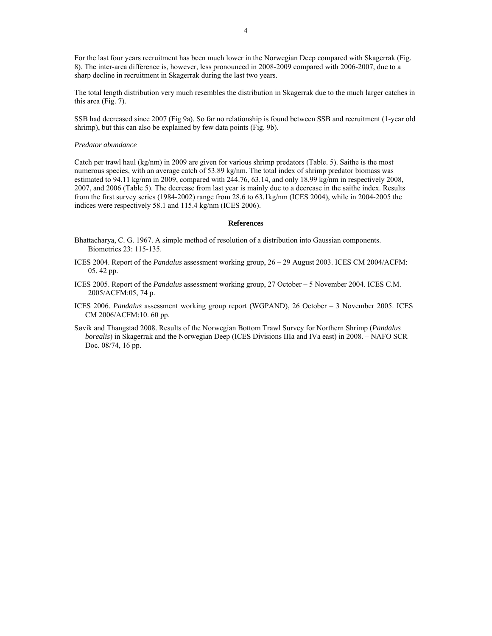For the last four years recruitment has been much lower in the Norwegian Deep compared with Skagerrak (Fig. 8). The inter-area difference is, however, less pronounced in 2008-2009 compared with 2006-2007, due to a sharp decline in recruitment in Skagerrak during the last two years.

The total length distribution very much resembles the distribution in Skagerrak due to the much larger catches in this area (Fig. 7).

SSB had decreased since 2007 (Fig 9a). So far no relationship is found between SSB and recruitment (1-year old shrimp), but this can also be explained by few data points (Fig. 9b).

# *Predator abundance*

Catch per trawl haul (kg/nm) in 2009 are given for various shrimp predators (Table. 5). Saithe is the most numerous species, with an average catch of 53.89 kg/nm. The total index of shrimp predator biomass was estimated to 94.11 kg/nm in 2009, compared with 244.76, 63.14, and only 18.99 kg/nm in respectively 2008, 2007, and 2006 (Table 5). The decrease from last year is mainly due to a decrease in the saithe index. Results from the first survey series (1984-2002) range from 28.6 to 63.1kg/nm (ICES 2004), while in 2004-2005 the indices were respectively 58.1 and 115.4 kg/nm (ICES 2006).

### **References**

- Bhattacharya, C. G. 1967. A simple method of resolution of a distribution into Gaussian components. Biometrics 23: 115-135.
- ICES 2004. Report of the *Pandalus* assessment working group, 26 29 August 2003. ICES CM 2004/ACFM: 05. 42 pp.
- ICES 2005. Report of the *Pandalus* assessment working group, 27 October 5 November 2004. ICES C.M. 2005/ACFM:05, 74 p.
- ICES 2006. *Pandalus* assessment working group report (WGPAND), 26 October 3 November 2005. ICES CM 2006/ACFM:10. 60 pp.
- Søvik and Thangstad 2008. Results of the Norwegian Bottom Trawl Survey for Northern Shrimp (*Pandalus borealis*) in Skagerrak and the Norwegian Deep (ICES Divisions IIIa and IVa east) in 2008. – NAFO SCR Doc. 08/74, 16 pp.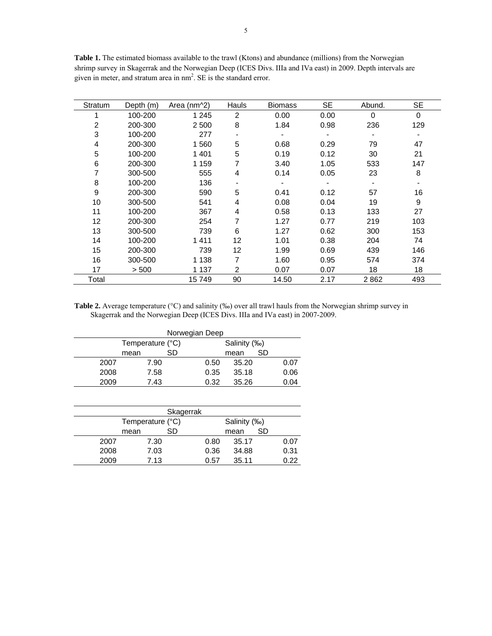Table 1. The estimated biomass available to the trawl (Ktons) and abundance (millions) from the Norwegian shrimp survey in Skagerrak and the Norwegian Deep (ICES Divs. IIIa and IVa east) in 2009. Depth intervals are given in meter, and stratum area in nm<sup>2</sup>. SE is the standard error.

| Stratum          | Depth (m) | Area (nm^2) | Hauls                    | <b>Biomass</b> | SE   | Abund.   | SE  |
|------------------|-----------|-------------|--------------------------|----------------|------|----------|-----|
|                  | 100-200   | 1 2 4 5     | 2                        | 0.00           | 0.00 | $\Omega$ | 0   |
| 2                | 200-300   | 2 500       | 8                        | 1.84           | 0.98 | 236      | 129 |
| 3                | 100-200   | 277         | $\overline{\phantom{0}}$ |                |      |          |     |
| 4                | 200-300   | 1560        | 5                        | 0.68           | 0.29 | 79       | 47  |
| 5                | 100-200   | 1 4 0 1     | 5                        | 0.19           | 0.12 | 30       | 21  |
| 6                | 200-300   | 1 1 5 9     | 7                        | 3.40           | 1.05 | 533      | 147 |
|                  | 300-500   | 555         | 4                        | 0.14           | 0.05 | 23       | 8   |
| 8                | 100-200   | 136         |                          |                |      |          |     |
| $\boldsymbol{9}$ | 200-300   | 590         | 5                        | 0.41           | 0.12 | 57       | 16  |
| 10               | 300-500   | 541         | 4                        | 0.08           | 0.04 | 19       | 9   |
| 11               | 100-200   | 367         | 4                        | 0.58           | 0.13 | 133      | 27  |
| 12               | 200-300   | 254         | 7                        | 1.27           | 0.77 | 219      | 103 |
| 13               | 300-500   | 739         | 6                        | 1.27           | 0.62 | 300      | 153 |
| 14               | 100-200   | 1411        | 12                       | 1.01           | 0.38 | 204      | 74  |
| 15               | 200-300   | 739         | $12 \overline{ }$        | 1.99           | 0.69 | 439      | 146 |
| 16               | 300-500   | 1 1 3 8     | 7                        | 1.60           | 0.95 | 574      | 374 |
| 17               | > 500     | 1 1 3 7     | 2                        | 0.07           | 0.07 | 18       | 18  |
| Total            |           | 15749       | 90                       | 14.50          | 2.17 | 2862     | 493 |

Table 2. Average temperature (°C) and salinity (‰) over all trawl hauls from the Norwegian shrimp survey in Skagerrak and the Norwegian Deep (ICES Divs. IIIa and IVa east) in 2007-2009.

| Norwegian Deep |                  |    |      |              |    |      |  |  |  |
|----------------|------------------|----|------|--------------|----|------|--|--|--|
|                | Temperature (°C) |    |      | Salinity (‰) |    |      |  |  |  |
|                | mean             | SD |      | mean         | SD |      |  |  |  |
| 2007           | 7.90             |    | 0.50 | 35.20        |    | 0.07 |  |  |  |
| 2008           | 7.58             |    | 0.35 | 35.18        |    | 0.06 |  |  |  |
| 2009           | 7.43             |    | 0.32 | 35.26        |    | 0.04 |  |  |  |

| Skagerrak |                  |    |              |       |    |      |  |  |
|-----------|------------------|----|--------------|-------|----|------|--|--|
|           | Temperature (°C) |    | Salinity (‰) |       |    |      |  |  |
|           | mean             | SD |              | mean  | SD |      |  |  |
| 2007      | 7.30             |    | 0.80         | 35.17 |    | 0.07 |  |  |
| 2008      | 7.03             |    | 0.36         | 34.88 |    | 0.31 |  |  |
| 2009      | 7.13             |    | 0.57         | 35.11 |    | በ 22 |  |  |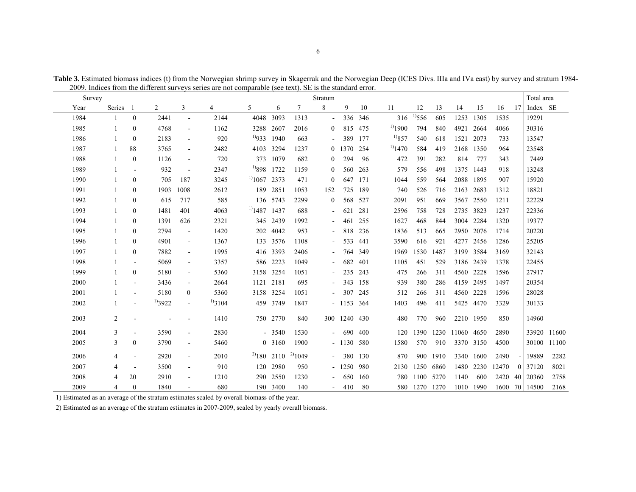| Survey |                |                          |                |                          |              |                   |                  |             | Stratum                  |              |         |              |             |           |           |           |       |      | Total area    |             |
|--------|----------------|--------------------------|----------------|--------------------------|--------------|-------------------|------------------|-------------|--------------------------|--------------|---------|--------------|-------------|-----------|-----------|-----------|-------|------|---------------|-------------|
| Year   | Series         |                          | $\overline{2}$ | 3                        | 4            | 5                 | 6                | 7           | 8                        | 9            | 10      | 11           | 12          | 13        | 14        | 15        | 16    | 17   | Index SE      |             |
| 1984   | $\overline{1}$ | $\overline{0}$           | 2441           | $\blacksquare$           | 2144         | 4048 3093         |                  | 1313        | $\blacksquare$           | 336          | 346     | 316          | $^{1)}$ 556 | 605       | 1253      | 1305      | 1535  |      | 19291         |             |
| 1985   | 1              | $\mathbf{0}$             | 4768           | $\blacksquare$           | 1162         | 3288 2607         |                  | 2016        | $\overline{0}$           |              | 815 475 | $^{1)}$ 1900 | 794         | 840       | 4921      | 2664      | 4066  |      | 30316         |             |
| 1986   | 1              | $\Omega$                 | 2183           |                          | 920          | $^{1)933}$ 1940   |                  | 663         |                          | 389          | 177     | $^{1)}857$   | 540         | 618       | 1521      | 2073      | 733   |      | 13547         |             |
| 1987   | -1             | 88                       | 3765           | $\sim$                   | 2482         | 4103 3294         |                  | 1237        | $\Omega$                 | 1370         | 254     | $^{1)}$ 1470 | 584         | 419       | 2168      | 1350      | 964   |      | 23548         |             |
| 1988   | 1              | $\mathbf{0}$             | 1126           | $\blacksquare$           | 720          |                   | 373 1079         | 682         | $\overline{0}$           | 294          | 96      | 472          | 391         | 282       | 814       | 777       | 343   |      | 7449          |             |
| 1989   | $\mathbf{1}$   |                          | 932            | $\overline{\phantom{a}}$ | 2347         | $^{19}898$        | 1722             | 1159        | $\overline{0}$           | 560          | 263     | 579          | 556         | 498       | 1375      | 1443      | 918   |      | 13248         |             |
| 1990   | $\mathbf{1}$   | $\theta$                 | 705            | 187                      | 3245         | $^{1}$ 1067 2373  |                  | 471         | $\overline{0}$           | 647          | 171     | 1044         | 559         | 564       | 2088      | 1895      | 907   |      | 15920         |             |
| 1991   | 1              | $\mathbf{0}$             | 1903           | 1008                     | 2612         |                   | 189 2851         | 1053        | 152                      | 725          | 189     | 740          | 526         | 716       | 2163 2683 |           | 1312  |      | 18821         |             |
| 1992   |                | $\mathbf{0}$             | 615            | 717                      | 585          |                   | 136 5743         | 2299        | $\overline{0}$           |              | 568 527 | 2091         | 951         | 669       |           | 3567 2550 | 1211  |      | 22229         |             |
| 1993   | 1              | $\mathbf{0}$             | 1481           | 401                      | 4063         | $^{1)}$ 1487 1437 |                  | 688         | $\blacksquare$           | 621          | 281     | 2596         | 758         | 728       | 2735 3823 |           | 1237  |      | 22336         |             |
| 1994   | 1              | $\mathbf{0}$             | 1391           | 626                      | 2321         |                   | 345 2439         | 1992        | $\overline{\phantom{a}}$ | 461          | 255     | 1627         | 468         | 844       | 3004      | 2284      | 1320  |      | 19377         |             |
| 1995   | 1              | $\Omega$                 | 2794           | $\blacksquare$           | 1420         |                   | 202 4042         | 953         | $\overline{\phantom{a}}$ |              | 818 236 | 1836         | 513         | 665       |           | 2950 2076 | 1714  |      | 20220         |             |
| 1996   | 1              | $\Omega$                 | 4901           | $\blacksquare$           | 1367         |                   | 133 3576         | 1108        | $\blacksquare$           | 533          | 441     | 3590         | 616         | 921       | 4277      | 2456      | 1286  |      | 25205         |             |
| 1997   | $\mathbf{1}$   | $\Omega$                 | 7882           | $\sim$                   | 1995         |                   | 416 3393         | 2406        | $\blacksquare$           | 764          | 349     | 1969         | 1530        | 1487      |           | 3199 3584 | 3169  |      | 32143         |             |
| 1998   | $\mathbf{1}$   |                          | 5069           | $\sim$                   | 3357         |                   | 586 2223         | 1049        | $\blacksquare$           | 682          | 401     | 1105         | 451         | 529       |           | 3186 2439 | 1378  |      | 22455         |             |
| 1999   | $\mathbf{1}$   | $\theta$                 | 5180           | $\sim$                   | 5360         |                   | 3158 3254        | 1051        | $\sim$                   | 235          | 243     | 475          | 266         | 311       |           | 4560 2228 | 1596  |      | 27917         |             |
| 2000   | 1              | $\overline{\phantom{a}}$ | 3436           | $\blacksquare$           | 2664         | 1121 2181         |                  | 695         | $\blacksquare$           | 343          | 158     | 939          | 380         | 286       |           | 4159 2495 | 1497  |      | 20354         |             |
| 2001   | 1              | $\overline{\phantom{a}}$ | 5180           | $\mathbf{0}$             | 5360         | 3158 3254         |                  | 1051        |                          | 307          | 245     | 512          | 266         | 311       | 4560      | 2228      | 1596  |      | 28028         |             |
| 2002   | 1              | $\blacksquare$           | $^{1)}3922$    | $\blacksquare$           | $^{1)}$ 3104 |                   | 459 3749         | 1847        |                          | $-1153$ 364  |         | 1403         | 496         | 411       |           | 5425 4470 | 3329  |      | 30133         |             |
| 2003   | $\overline{2}$ |                          |                |                          | 1410         |                   | 750 2770         | 840         |                          | 300 1240 430 |         | 480          | 770         | 960       |           | 2210 1950 | 850   |      | 14960         |             |
| 2004   | 3              | $\overline{\phantom{a}}$ | 3590           | $\sim$                   | 2830         |                   | $-3540$          | 1530        | $\blacksquare$           | 690          | 400     | 120          | 1390        | 1230      | 11060     | 4650      | 2890  |      | 33920         | 11600       |
| 2005   | 3              | $\theta$                 | 3790           | $\blacksquare$           | 5460         |                   | 0 3160           | 1900        |                          | $-1130580$   |         | 1580         | 570         | 910       |           | 3370 3150 | 4500  |      |               | 30100 11100 |
| 2006   | 4              | $\overline{\phantom{a}}$ | 2920           | $\blacksquare$           | 2010         |                   | $^{2)}$ 180 2110 | $^{2)}1049$ | $\blacksquare$           | 380          | 130     | 870          | 900         | 1910      | 3340      | 1600      | 2490  | $-1$ | 19889         | 2282        |
| 2007   | 4              |                          | 3500           | $\blacksquare$           | 910          | 120               | 2980             | 950         |                          | $-1250$      | 980     | 2130         | 1250        | 6860      | 1480      | 2230      | 12470 |      | 0 37120       | 8021        |
| 2008   | 4              | 20                       | 2910           |                          | 1210         |                   | 290 2550         | 1230        | $\blacksquare$           | 650          | 160     | 780          | 1100        | 5270      | 1140      | 600       |       |      | 2420 40 20360 | 2758        |
| 2009   | 4              | $\Omega$                 | 1840           |                          | 680          |                   | 190 3400         | 140         |                          | 410          | -80     | 580          |             | 1270 1270 | 1010      | 1990      |       |      | 1600 70 14500 | 2168        |

**Table 3.** Estimated biomass indices (t) from the Norwegian shrimp survey in Skagerrak and the Norwegian Deep (ICES Divs. IIIa and IVa east) by survey and stratum 1984- 2009. Indices from the different surveys series are not comparable (see text). SE is the standard error.

1) Estimated as an average of the stratum estimates scaled by overall biomass of the year.

2) Estimated as an average of the stratum estimates in 2007-2009, scaled by yearly overall biomass.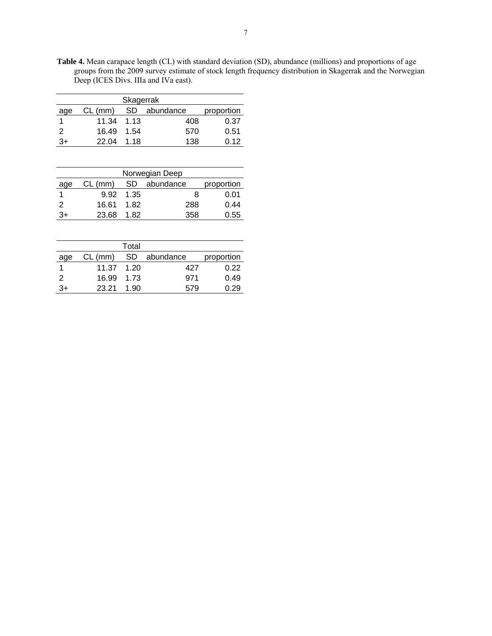**Table 4.** Mean carapace length (CL) with standard deviation (SD), abundance (millions) and proportions of age groups from the 2009 survey estimate of stock length frequency distribution in Skagerrak and the Norwegian Deep (ICES Divs. IIIa and IVa east).

| Skagerrak |           |           |           |            |  |  |  |  |  |
|-----------|-----------|-----------|-----------|------------|--|--|--|--|--|
| age       | $CL$ (mm) | <b>SD</b> | abundance | proportion |  |  |  |  |  |
|           | 11.34     | 1.13      | 408       | 0.37       |  |  |  |  |  |
| 2         | 16.49     | 1.54      | 570       | 0.51       |  |  |  |  |  |
| 3+        | 22.04     | 1 1 8     | 138       | 0.12       |  |  |  |  |  |

| Norwegian Deep |           |      |           |            |  |  |  |  |
|----------------|-----------|------|-----------|------------|--|--|--|--|
| age            | $CL$ (mm) | SD.  | abundance | proportion |  |  |  |  |
|                | 9.92      | 1.35 | 8         | 0.01       |  |  |  |  |
| 2              | 16.61     | 1.82 | 288       | 0.44       |  |  |  |  |
| 3+             | 23.68     | 1.82 | 358       | 0.55       |  |  |  |  |

|     |            | Total |           |            |
|-----|------------|-------|-----------|------------|
| age | $CL$ (mm)  | SD.   | abundance | proportion |
|     | 11.37 1.20 |       | 427       | 0.22       |
| 2   | 16.99 1.73 |       | 971       | 0.49       |
| 3+  | 23.21      | 1.90  | 579       | 0.29       |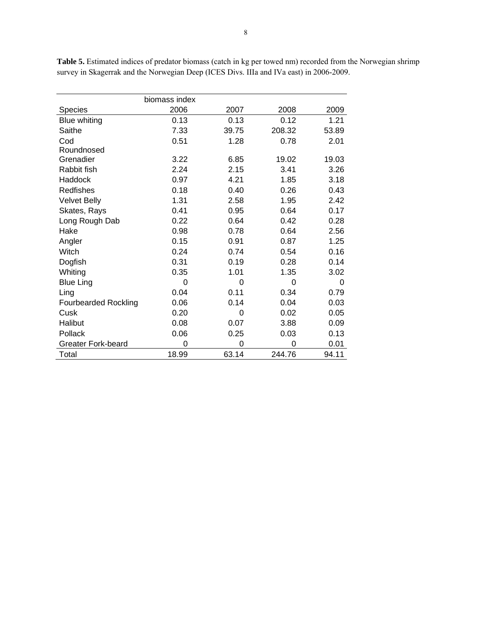|                             | biomass index |       |        |       |
|-----------------------------|---------------|-------|--------|-------|
| Species                     | 2006          | 2007  | 2008   | 2009  |
| Blue whiting                | 0.13          | 0.13  | 0.12   | 1.21  |
| Saithe                      | 7.33          | 39.75 | 208.32 | 53.89 |
| Cod                         | 0.51          | 1.28  | 0.78   | 2.01  |
| Roundnosed                  |               |       |        |       |
| Grenadier                   | 3.22          | 6.85  | 19.02  | 19.03 |
| Rabbit fish                 | 2.24          | 2.15  | 3.41   | 3.26  |
| Haddock                     | 0.97          | 4.21  | 1.85   | 3.18  |
| <b>Redfishes</b>            | 0.18          | 0.40  | 0.26   | 0.43  |
| <b>Velvet Belly</b>         | 1.31          | 2.58  | 1.95   | 2.42  |
| Skates, Rays                | 0.41          | 0.95  | 0.64   | 0.17  |
| Long Rough Dab              | 0.22          | 0.64  | 0.42   | 0.28  |
| Hake                        | 0.98          | 0.78  | 0.64   | 2.56  |
| Angler                      | 0.15          | 0.91  | 0.87   | 1.25  |
| Witch                       | 0.24          | 0.74  | 0.54   | 0.16  |
| Dogfish                     | 0.31          | 0.19  | 0.28   | 0.14  |
| Whiting                     | 0.35          | 1.01  | 1.35   | 3.02  |
| <b>Blue Ling</b>            | $\Omega$      | 0     | 0      | 0     |
| Ling                        | 0.04          | 0.11  | 0.34   | 0.79  |
| <b>Fourbearded Rockling</b> | 0.06          | 0.14  | 0.04   | 0.03  |
| Cusk                        | 0.20          | 0     | 0.02   | 0.05  |
| Halibut                     | 0.08          | 0.07  | 3.88   | 0.09  |
| Pollack                     | 0.06          | 0.25  | 0.03   | 0.13  |
| <b>Greater Fork-beard</b>   | 0             | 0     | 0      | 0.01  |
| Total                       | 18.99         | 63.14 | 244.76 | 94.11 |

**Table 5.** Estimated indices of predator biomass (catch in kg per towed nm) recorded from the Norwegian shrimp survey in Skagerrak and the Norwegian Deep (ICES Divs. IIIa and IVa east) in 2006-2009.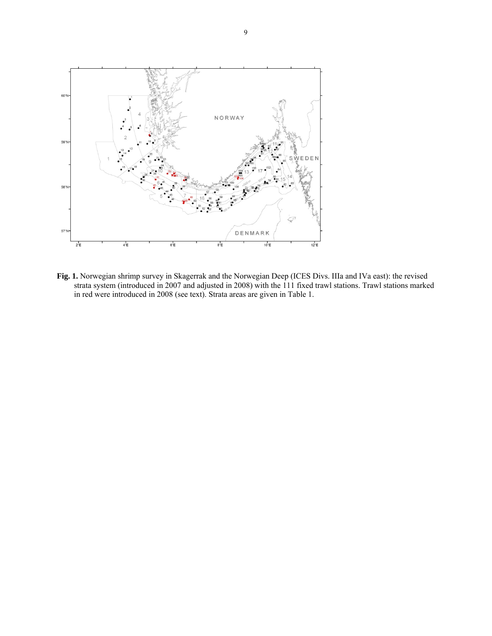

**Fig. 1.** Norwegian shrimp survey in Skagerrak and the Norwegian Deep (ICES Divs. IIIa and IVa east): the revised strata system (introduced in 2007 and adjusted in 2008) with the 111 fixed trawl stations. Trawl stations marked in red were introduced in 2008 (see text). Strata areas are given in Table 1.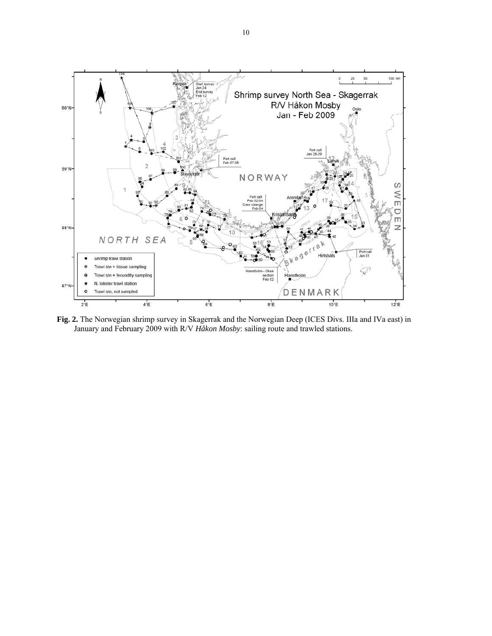

**Fig. 2.** The Norwegian shrimp survey in Skagerrak and the Norwegian Deep (ICES Divs. IIIa and IVa east) in January and February 2009 with R/V *Håkon Mosby*: sailing route and trawled stations.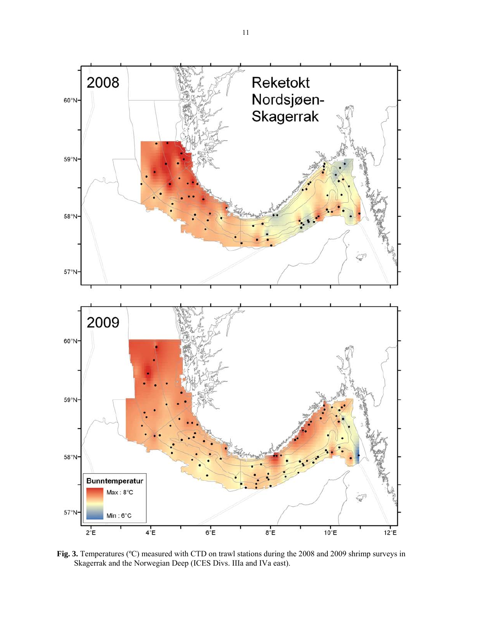

**Fig. 3.** Temperatures (ºC) measured with CTD on trawl stations during the 2008 and 2009 shrimp surveys in Skagerrak and the Norwegian Deep (ICES Divs. IIIa and IVa east).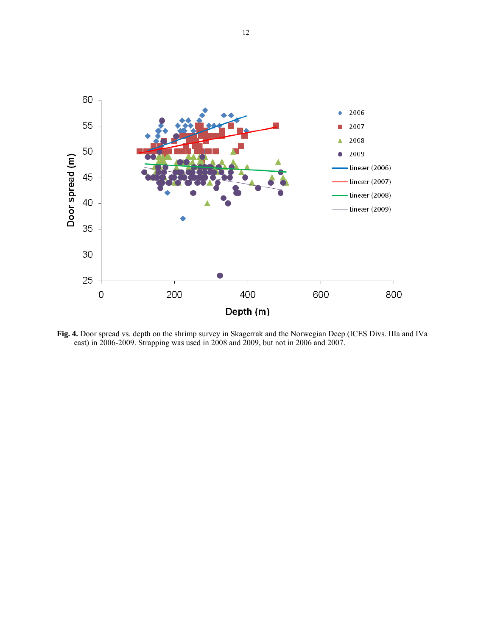

**Fig. 4.** Door spread vs. depth on the shrimp survey in Skagerrak and the Norwegian Deep (ICES Divs. IIIa and IVa east) in 2006-2009. Strapping was used in 2008 and 2009, but not in 2006 and 2007.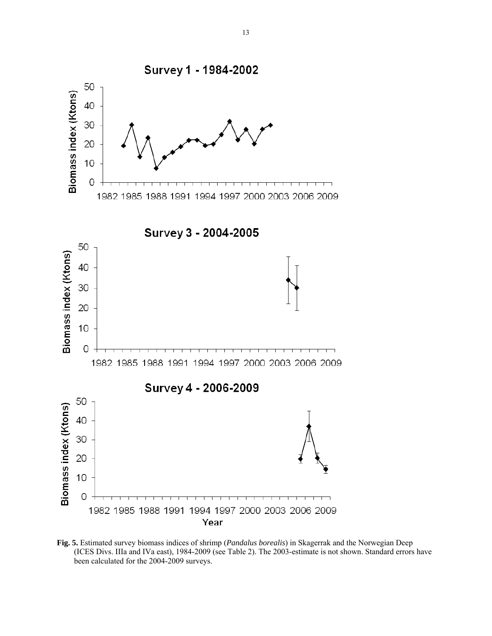

**Fig. 5.** Estimated survey biomass indices of shrimp (*Pandalus borealis*) in Skagerrak and the Norwegian Deep (ICES Divs. IIIa and IVa east), 1984-2009 (see Table 2). The 2003-estimate is not shown. Standard errors have been calculated for the 2004-2009 surveys.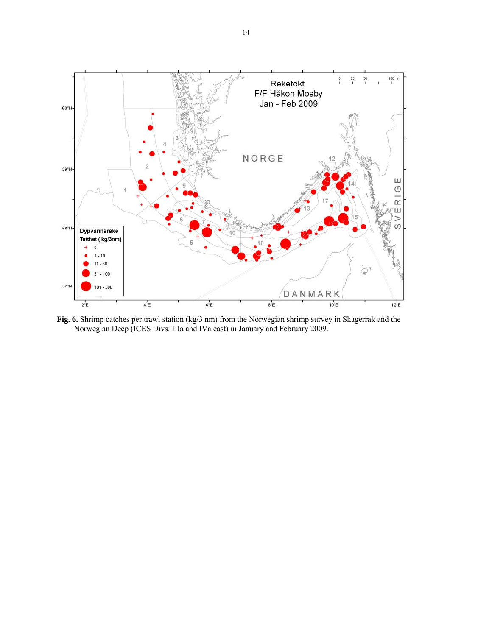

**Fig. 6.** Shrimp catches per trawl station (kg/3 nm) from the Norwegian shrimp survey in Skagerrak and the Norwegian Deep (ICES Divs. IIIa and IVa east) in January and February 2009.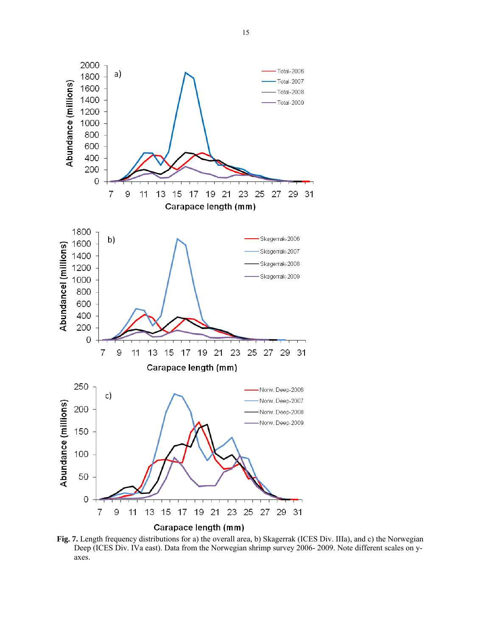

**Fig. 7.** Length frequency distributions for a) the overall area, b) Skagerrak (ICES Div. IIIa), and c) the Norwegian Deep (ICES Div. IVa east). Data from the Norwegian shrimp survey 2006- 2009. Note different scales on yaxes.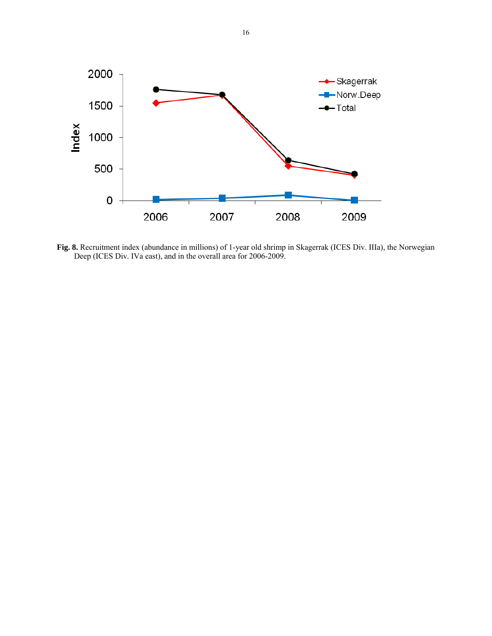

**Fig. 8.** Recruitment index (abundance in millions) of 1-year old shrimp in Skagerrak (ICES Div. IIIa), the Norwegian Deep (ICES Div. IVa east), and in the overall area for 2006-2009.